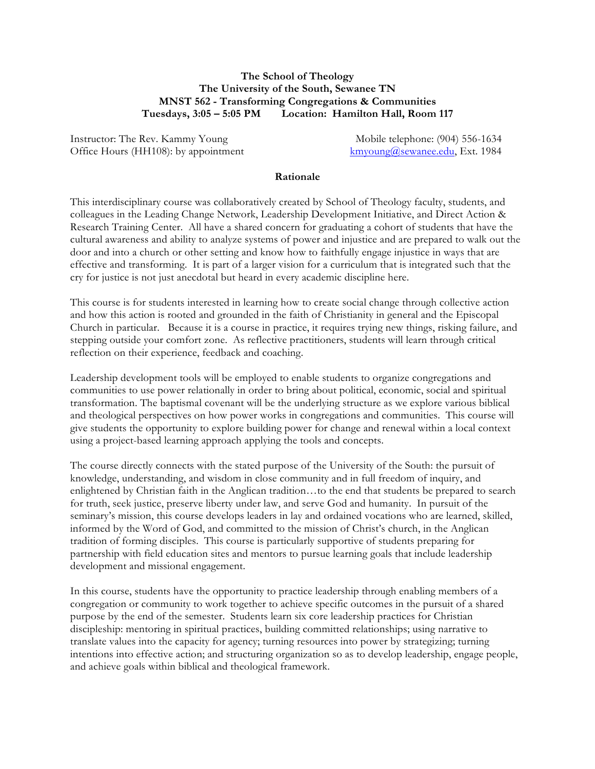## **The School of Theology The University of the South, Sewanee TN MNST 562 - Transforming Congregations & Communities Tuesdays, 3:05 – 5:05 PM Location: Hamilton Hall, Room 117**

Instructor: The Rev. Kammy Young Mobile telephone: (904) 556-1634 Office Hours (HH108): by appointment kmyoung@sewanee.edu, Ext. 1984

#### **Rationale**

This interdisciplinary course was collaboratively created by School of Theology faculty, students, and colleagues in the Leading Change Network, Leadership Development Initiative, and Direct Action & Research Training Center. All have a shared concern for graduating a cohort of students that have the cultural awareness and ability to analyze systems of power and injustice and are prepared to walk out the door and into a church or other setting and know how to faithfully engage injustice in ways that are effective and transforming. It is part of a larger vision for a curriculum that is integrated such that the cry for justice is not just anecdotal but heard in every academic discipline here.

This course is for students interested in learning how to create social change through collective action and how this action is rooted and grounded in the faith of Christianity in general and the Episcopal Church in particular. Because it is a course in practice, it requires trying new things, risking failure, and stepping outside your comfort zone. As reflective practitioners, students will learn through critical reflection on their experience, feedback and coaching.

Leadership development tools will be employed to enable students to organize congregations and communities to use power relationally in order to bring about political, economic, social and spiritual transformation. The baptismal covenant will be the underlying structure as we explore various biblical and theological perspectives on how power works in congregations and communities. This course will give students the opportunity to explore building power for change and renewal within a local context using a project-based learning approach applying the tools and concepts.

The course directly connects with the stated purpose of the University of the South: the pursuit of knowledge, understanding, and wisdom in close community and in full freedom of inquiry, and enlightened by Christian faith in the Anglican tradition…to the end that students be prepared to search for truth, seek justice, preserve liberty under law, and serve God and humanity. In pursuit of the seminary's mission, this course develops leaders in lay and ordained vocations who are learned, skilled, informed by the Word of God, and committed to the mission of Christ's church, in the Anglican tradition of forming disciples. This course is particularly supportive of students preparing for partnership with field education sites and mentors to pursue learning goals that include leadership development and missional engagement.

In this course, students have the opportunity to practice leadership through enabling members of a congregation or community to work together to achieve specific outcomes in the pursuit of a shared purpose by the end of the semester. Students learn six core leadership practices for Christian discipleship: mentoring in spiritual practices, building committed relationships; using narrative to translate values into the capacity for agency; turning resources into power by strategizing; turning intentions into effective action; and structuring organization so as to develop leadership, engage people, and achieve goals within biblical and theological framework.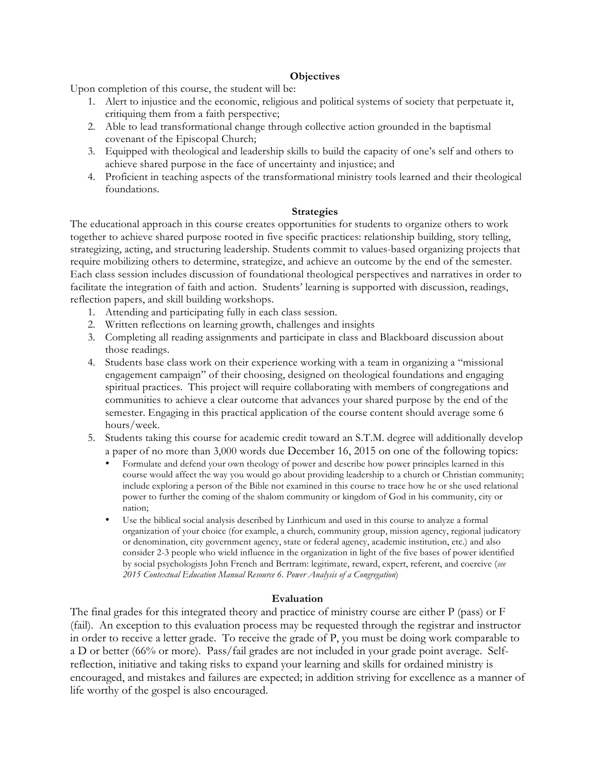### **Objectives**

Upon completion of this course, the student will be:

- 1. Alert to injustice and the economic, religious and political systems of society that perpetuate it, critiquing them from a faith perspective;
- 2. Able to lead transformational change through collective action grounded in the baptismal covenant of the Episcopal Church;
- 3. Equipped with theological and leadership skills to build the capacity of one's self and others to achieve shared purpose in the face of uncertainty and injustice; and
- 4. Proficient in teaching aspects of the transformational ministry tools learned and their theological foundations.

### **Strategies**

The educational approach in this course creates opportunities for students to organize others to work together to achieve shared purpose rooted in five specific practices: relationship building, story telling, strategizing, acting, and structuring leadership. Students commit to values-based organizing projects that require mobilizing others to determine, strategize, and achieve an outcome by the end of the semester. Each class session includes discussion of foundational theological perspectives and narratives in order to facilitate the integration of faith and action. Students' learning is supported with discussion, readings, reflection papers, and skill building workshops.

- 1. Attending and participating fully in each class session.
- 2. Written reflections on learning growth, challenges and insights
- 3. Completing all reading assignments and participate in class and Blackboard discussion about those readings.
- 4. Students base class work on their experience working with a team in organizing a "missional engagement campaign" of their choosing, designed on theological foundations and engaging spiritual practices. This project will require collaborating with members of congregations and communities to achieve a clear outcome that advances your shared purpose by the end of the semester. Engaging in this practical application of the course content should average some 6 hours/week.
- 5. Students taking this course for academic credit toward an S.T.M. degree will additionally develop a paper of no more than 3,000 words due December 16, 2015 on one of the following topics:
	- Formulate and defend your own theology of power and describe how power principles learned in this course would affect the way you would go about providing leadership to a church or Christian community; include exploring a person of the Bible not examined in this course to trace how he or she used relational power to further the coming of the shalom community or kingdom of God in his community, city or nation;
	- Use the biblical social analysis described by Linthicum and used in this course to analyze a formal organization of your choice (for example, a church, community group, mission agency, regional judicatory or denomination, city government agency, state or federal agency, academic institution, etc.) and also consider 2-3 people who wield influence in the organization in light of the five bases of power identified by social psychologists John French and Bertram: legitimate, reward, expert, referent, and coercive (*see 2015 Contextual Education Manual Resource 6. Power Analysis of a Congregation*)

## **Evaluation**

The final grades for this integrated theory and practice of ministry course are either P (pass) or F (fail). An exception to this evaluation process may be requested through the registrar and instructor in order to receive a letter grade. To receive the grade of P, you must be doing work comparable to a D or better (66% or more). Pass/fail grades are not included in your grade point average. Selfreflection, initiative and taking risks to expand your learning and skills for ordained ministry is encouraged, and mistakes and failures are expected; in addition striving for excellence as a manner of life worthy of the gospel is also encouraged.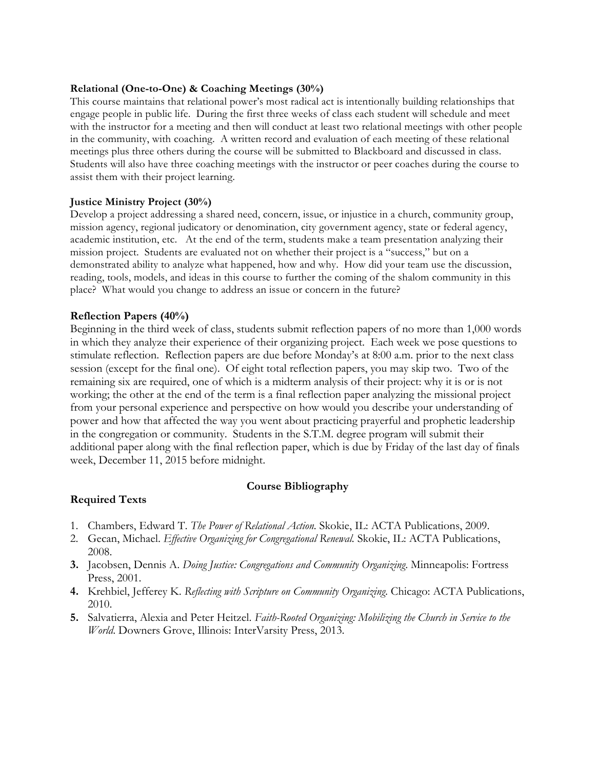## **Relational (One-to-One) & Coaching Meetings (30%)**

This course maintains that relational power's most radical act is intentionally building relationships that engage people in public life. During the first three weeks of class each student will schedule and meet with the instructor for a meeting and then will conduct at least two relational meetings with other people in the community, with coaching. A written record and evaluation of each meeting of these relational meetings plus three others during the course will be submitted to Blackboard and discussed in class. Students will also have three coaching meetings with the instructor or peer coaches during the course to assist them with their project learning.

### **Justice Ministry Project (30%)**

Develop a project addressing a shared need, concern, issue, or injustice in a church, community group, mission agency, regional judicatory or denomination, city government agency, state or federal agency, academic institution, etc. At the end of the term, students make a team presentation analyzing their mission project. Students are evaluated not on whether their project is a "success," but on a demonstrated ability to analyze what happened, how and why. How did your team use the discussion, reading, tools, models, and ideas in this course to further the coming of the shalom community in this place? What would you change to address an issue or concern in the future?

### **Reflection Papers (40%)**

Beginning in the third week of class, students submit reflection papers of no more than 1,000 words in which they analyze their experience of their organizing project. Each week we pose questions to stimulate reflection. Reflection papers are due before Monday's at 8:00 a.m. prior to the next class session (except for the final one). Of eight total reflection papers, you may skip two. Two of the remaining six are required, one of which is a midterm analysis of their project: why it is or is not working; the other at the end of the term is a final reflection paper analyzing the missional project from your personal experience and perspective on how would you describe your understanding of power and how that affected the way you went about practicing prayerful and prophetic leadership in the congregation or community. Students in the S.T.M. degree program will submit their additional paper along with the final reflection paper, which is due by Friday of the last day of finals week, December 11, 2015 before midnight.

#### **Course Bibliography**

## **Required Texts**

- 1. Chambers, Edward T. *The Power of Relational Action.* Skokie, IL: ACTA Publications, 2009.
- 2. Gecan, Michael. *Effective Organizing for Congregational Renewal.* Skokie, IL: ACTA Publications, 2008.
- **3.** Jacobsen, Dennis A. *Doing Justice: Congregations and Community Organizing*. Minneapolis: Fortress Press, 2001.
- **4.** Krehbiel, Jefferey K. *Reflecting with Scripture on Community Organizing*. Chicago: ACTA Publications, 2010.
- **5.** Salvatierra, Alexia and Peter Heitzel. *Faith-Rooted Organizing: Mobilizing the Church in Service to the World*. Downers Grove, Illinois: InterVarsity Press, 2013.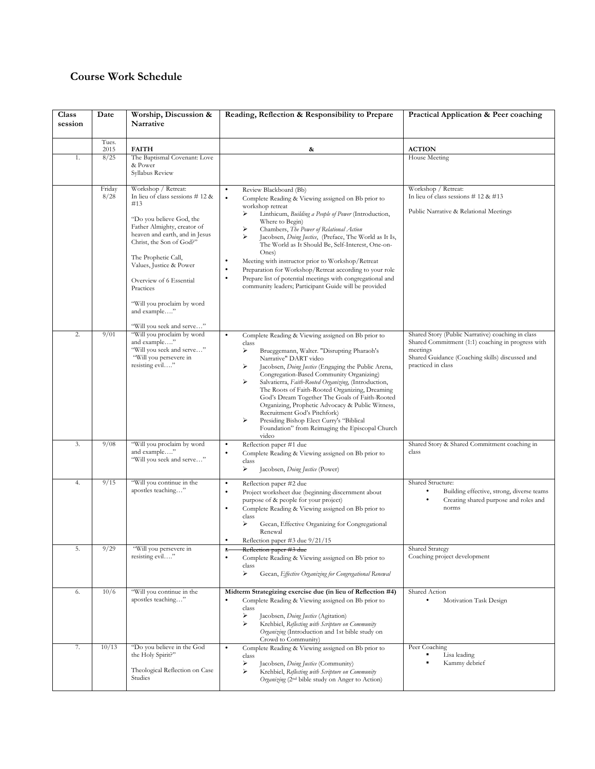# **Course Work Schedule**

| Class<br>session | Date           | Worship, Discussion &<br>Narrative                                                                                                                                                                                                                                                                                                                              | Reading, Reflection & Responsibility to Prepare                                                                                                                                                                                                                                                                                                                                                                                                                                                                                                                                                                                              | Practical Application & Peer coaching                                                                                                                                                       |
|------------------|----------------|-----------------------------------------------------------------------------------------------------------------------------------------------------------------------------------------------------------------------------------------------------------------------------------------------------------------------------------------------------------------|----------------------------------------------------------------------------------------------------------------------------------------------------------------------------------------------------------------------------------------------------------------------------------------------------------------------------------------------------------------------------------------------------------------------------------------------------------------------------------------------------------------------------------------------------------------------------------------------------------------------------------------------|---------------------------------------------------------------------------------------------------------------------------------------------------------------------------------------------|
|                  | Tues.          |                                                                                                                                                                                                                                                                                                                                                                 |                                                                                                                                                                                                                                                                                                                                                                                                                                                                                                                                                                                                                                              |                                                                                                                                                                                             |
| 1.               | 2015<br>8/25   | <b>FAITH</b><br>The Baptismal Covenant: Love<br>& Power<br>Syllabus Review                                                                                                                                                                                                                                                                                      | &                                                                                                                                                                                                                                                                                                                                                                                                                                                                                                                                                                                                                                            | <b>ACTION</b><br>House Meeting                                                                                                                                                              |
|                  | Friday<br>8/28 | Workshop / Retreat:<br>In lieu of class sessions $# 12 \&$<br>#13<br>"Do you believe God, the<br>Father Almighty, creator of<br>heaven and earth, and in Jesus<br>Christ, the Son of God?"<br>The Prophetic Call,<br>Values, Justice & Power<br>Overview of 6 Essential<br>Practices<br>"Will you proclaim by word<br>and example"<br>"Will you seek and serve" | Review Blackboard (Bb)<br>$\bullet$<br>$\bullet$<br>Complete Reading & Viewing assigned on Bb prior to<br>workshop retreat<br>Linthicum, Building a People of Power (Introduction,<br>⋗<br>Where to Begin)<br>Chambers, The Power of Relational Action<br>⋗<br>Jacobsen, Doing Justice, (Preface, The World as It Is,<br>The World as It Should Be, Self-Interest, One-on-<br>Ones)<br>Meeting with instructor prior to Workshop/Retreat<br>$\bullet$<br>Preparation for Workshop/Retreat according to your role<br>Prepare list of potential meetings with congregational and<br>٠<br>community leaders; Participant Guide will be provided | Workshop / Retreat:<br>In lieu of class sessions $# 12 \& #13$<br>Public Narrative & Relational Meetings                                                                                    |
| 2.               | 9/01           | "Will you proclaim by word<br>and example"<br>"Will you seek and serve"<br>"Will you persevere in<br>resisting evil"                                                                                                                                                                                                                                            | $\bullet$<br>Complete Reading & Viewing assigned on Bb prior to<br>class<br>Brueggemann, Walter. "Disrupting Pharaoh's<br>⋗<br>Narrative" DART video<br>Jacobsen, Doing Justice (Engaging the Public Arena,<br>⋗<br>Congregation-Based Community Organizing)<br>⋗<br>Salvatierra, Faith-Rooted Organizing, (Introduction,<br>The Roots of Faith-Rooted Organizing, Dreaming<br>God's Dream Together The Goals of Faith-Rooted<br>Organizing, Prophetic Advocacy & Public Witness,<br>Recruitment God's Pitchfork)<br>Presiding Bishop Elect Curry's "Biblical<br>➤<br>Foundation" from Reimaging the Episcopal Church<br>video               | Shared Story (Public Narrative) coaching in class<br>Shared Commitment (1:1) coaching in progress with<br>meetings<br>Shared Guidance (Coaching skills) discussed and<br>practiced in class |
| 3.               | 9/08           | "Will you proclaim by word<br>and example"<br>"Will you seek and serve"                                                                                                                                                                                                                                                                                         | Reflection paper #1 due<br>$\bullet$<br>Complete Reading & Viewing assigned on Bb prior to<br>$\bullet$<br>class<br>⋗<br>Jacobsen, Doing Justice (Power)                                                                                                                                                                                                                                                                                                                                                                                                                                                                                     | Shared Story & Shared Commitment coaching in<br>class                                                                                                                                       |
| 4.               | 9/15           | "Will you continue in the<br>apostles teaching"                                                                                                                                                                                                                                                                                                                 | $\bullet$<br>Reflection paper #2 due<br>Project worksheet due (beginning discernment about<br>$\bullet$<br>purpose of & people for your project)<br>Complete Reading & Viewing assigned on Bb prior to<br>$\bullet$<br>class<br>Gecan, Effective Organizing for Congregational<br>⋗<br>Renewal<br>Reflection paper $\#3$ due $9/21/15$                                                                                                                                                                                                                                                                                                       | Shared Structure:<br>Building effective, strong, diverse teams<br>Creating shared purpose and roles and<br>norms                                                                            |
| 5.               | 9/29           | "Will you persevere in<br>resisting evil"                                                                                                                                                                                                                                                                                                                       | Reflection paper #3 due<br>$\bullet$<br>$\bullet$<br>Complete Reading & Viewing assigned on Bb prior to<br>class<br>⋗<br>Gecan, Effective Organizing for Congregational Renewal                                                                                                                                                                                                                                                                                                                                                                                                                                                              | Shared Strategy<br>Coaching project development                                                                                                                                             |
| 6.               | 10/6           | "Will you continue in the<br>apostles teaching"                                                                                                                                                                                                                                                                                                                 | Midterm Strategizing exercise due (in lieu of Reflection #4)<br>Complete Reading & Viewing assigned on Bb prior to<br>$\bullet$<br>class<br>Jacobsen, Doing Justice (Agitation)<br>➤<br>Krehbiel, Reflecting with Scripture on Community<br>⋗<br>Organizing (Introduction and 1st bible study on<br>Crowd to Community)                                                                                                                                                                                                                                                                                                                      | Shared Action<br>Motivation Task Design                                                                                                                                                     |
| 7.               | 10/13          | "Do you believe in the God<br>the Holy Spirit?"<br>Theological Reflection on Case<br>Studies                                                                                                                                                                                                                                                                    | $\bullet$<br>Complete Reading & Viewing assigned on Bb prior to<br>class<br>⋗<br>Jacobsen, Doing Justice (Community)<br>Krehbiel, Reflecting with Scripture on Community<br>⋗<br>Organizing (2 <sup>nd</sup> bible study on Anger to Action)                                                                                                                                                                                                                                                                                                                                                                                                 | Peer Coaching<br>Lisa leading<br>Kammy debrief                                                                                                                                              |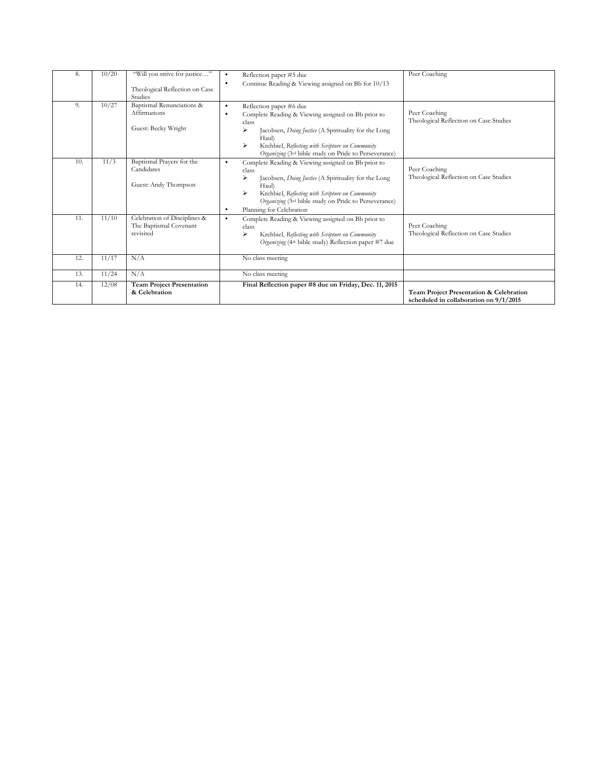| 8.  | 10/20 | "Will you strive for justice"                          | Reflection paper #5 due<br>$\bullet$                                      | Peer Coaching                                           |
|-----|-------|--------------------------------------------------------|---------------------------------------------------------------------------|---------------------------------------------------------|
|     |       | Theological Reflection on Case                         | Continue Reading & Viewing assigned on Bb for 10/13<br>٠                  |                                                         |
|     |       | Studies                                                |                                                                           |                                                         |
| 9.  | 10/27 | Baptismal Renunciations &                              | Reflection paper #6 due<br>$\bullet$                                      |                                                         |
|     |       | <b>Affirmations</b>                                    | Complete Reading & Viewing assigned on Bb prior to<br>$\bullet$           | Peer Coaching                                           |
|     |       | Guest: Becky Wright                                    | class                                                                     | Theological Reflection on Case Studies                  |
|     |       |                                                        | ⋗<br>Jacobsen, <i>Doing Justice</i> (A Spirituality for the Long<br>Haul) |                                                         |
|     |       |                                                        | ⋗<br>Krehbiel, Reflecting with Scripture on Community                     |                                                         |
|     |       |                                                        | Organizing (3rd bible study on Pride to Perseverance)                     |                                                         |
| 10. | 11/3  | Baptismal Prayers for the                              | Complete Reading & Viewing assigned on Bb prior to<br>$\bullet$           |                                                         |
|     |       | Candidates                                             | class                                                                     | Peer Coaching<br>Theological Reflection on Case Studies |
|     |       | Guest: Andy Thompson                                   | Jacobsen, Doing Justice (A Spirituality for the Long<br>Haul)             |                                                         |
|     |       |                                                        | ⋗<br>Krehbiel, Reflecting with Scripture on Community                     |                                                         |
|     |       |                                                        | Organizing (3rd bible study on Pride to Perseverance)                     |                                                         |
|     |       |                                                        | Planning for Celebration<br>٠                                             |                                                         |
| 11. | 11/10 | Celebration of Disciplines &<br>The Baptismal Covenant | Complete Reading & Viewing assigned on Bb prior to<br>$\bullet$           | Peer Coaching                                           |
|     |       | revisited                                              | class<br>Krehbiel, Reflecting with Scripture on Community                 | Theological Reflection on Case Studies                  |
|     |       |                                                        | Organizing (4th bible study) Reflection paper #7 due                      |                                                         |
|     |       |                                                        |                                                                           |                                                         |
| 12. | 11/17 | N/A                                                    | No class meeting                                                          |                                                         |
| 13. | 11/24 | N/A                                                    | No class meeting                                                          |                                                         |
| 14. | 12/08 | <b>Team Project Presentation</b>                       | Final Reflection paper #8 due on Friday, Dec. 11, 2015                    |                                                         |
|     |       | & Celebration                                          |                                                                           | Team Project Presentation & Celebration                 |
|     |       |                                                        |                                                                           | scheduled in collaboration on 9/1/2015                  |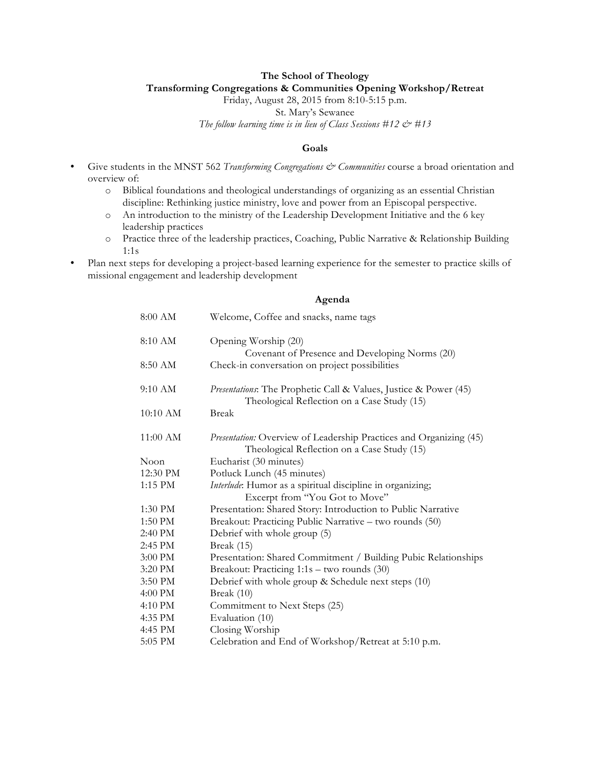#### **The School of Theology Transforming Congregations & Communities Opening Workshop/Retreat**

Friday, August 28, 2015 from 8:10-5:15 p.m.

St. Mary's Sewanee

*The follow learning time is in lieu of Class Sessions #12 & #13*

#### **Goals**

- Give students in the MNST 562 *Transforming Congregations & Communities* course a broad orientation and overview of:
	- o Biblical foundations and theological understandings of organizing as an essential Christian discipline: Rethinking justice ministry, love and power from an Episcopal perspective.
	- o An introduction to the ministry of the Leadership Development Initiative and the 6 key leadership practices
	- o Practice three of the leadership practices, Coaching, Public Narrative & Relationship Building 1:1s
- Plan next steps for developing a project-based learning experience for the semester to practice skills of missional engagement and leadership development

#### **Agenda**

| 8:00 AM  | Welcome, Coffee and snacks, name tags                                                                             |  |  |
|----------|-------------------------------------------------------------------------------------------------------------------|--|--|
| 8:10 AM  | Opening Worship (20)                                                                                              |  |  |
| 8:50 AM  | Covenant of Presence and Developing Norms (20)<br>Check-in conversation on project possibilities                  |  |  |
| 9:10 AM  | Presentations: The Prophetic Call & Values, Justice & Power (45)<br>Theological Reflection on a Case Study (15)   |  |  |
| 10:10 AM | <b>Break</b>                                                                                                      |  |  |
| 11:00 AM | Presentation: Overview of Leadership Practices and Organizing (45)<br>Theological Reflection on a Case Study (15) |  |  |
| Noon     | Eucharist (30 minutes)                                                                                            |  |  |
| 12:30 PM | Potluck Lunch (45 minutes)                                                                                        |  |  |
| 1:15 PM  | Interlude: Humor as a spiritual discipline in organizing;<br>Excerpt from "You Got to Move"                       |  |  |
| 1:30 PM  | Presentation: Shared Story: Introduction to Public Narrative                                                      |  |  |
| 1:50 PM  | Breakout: Practicing Public Narrative - two rounds (50)                                                           |  |  |
| 2:40 PM  | Debrief with whole group (5)                                                                                      |  |  |
| 2:45 PM  | Break (15)                                                                                                        |  |  |
| 3:00 PM  | Presentation: Shared Commitment / Building Pubic Relationships                                                    |  |  |
| 3:20 PM  | Breakout: Practicing 1:1s - two rounds (30)                                                                       |  |  |
| 3:50 PM  | Debrief with whole group & Schedule next steps (10)                                                               |  |  |
| 4:00 PM  | Break (10)                                                                                                        |  |  |
| 4:10 PM  | Commitment to Next Steps (25)                                                                                     |  |  |
| 4:35 PM  | Evaluation (10)                                                                                                   |  |  |
| 4:45 PM  | Closing Worship                                                                                                   |  |  |
| 5:05 PM  | Celebration and End of Workshop/Retreat at 5:10 p.m.                                                              |  |  |